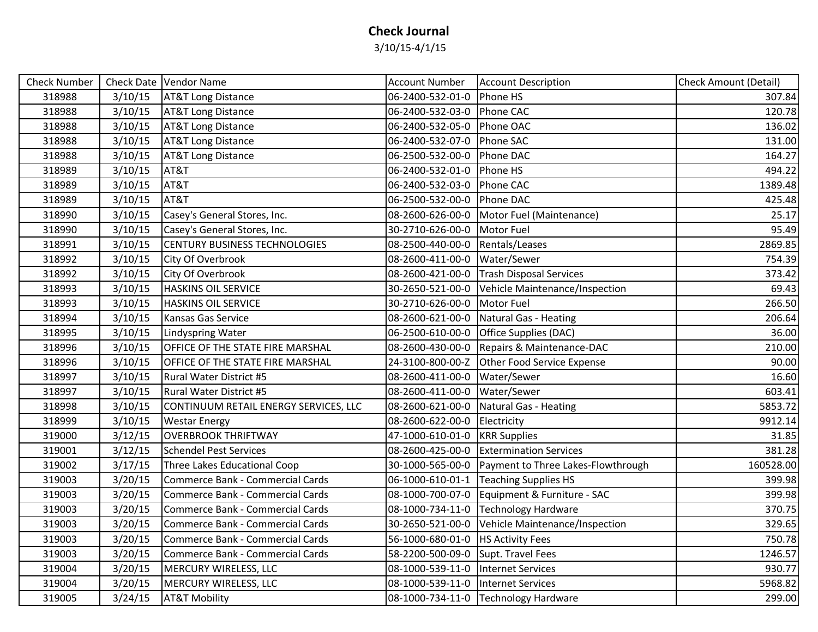## **Check Journal**

3/10/15-4/1/15

| Check Number |         | Check Date   Vendor Name              | <b>Account Number</b>                | <b>Account Description</b>                      | <b>Check Amount (Detail)</b> |
|--------------|---------|---------------------------------------|--------------------------------------|-------------------------------------------------|------------------------------|
| 318988       | 3/10/15 | <b>AT&amp;T Long Distance</b>         | 06-2400-532-01-0                     | Phone HS                                        | 307.84                       |
| 318988       | 3/10/15 | <b>AT&amp;T Long Distance</b>         | 06-2400-532-03-0 Phone CAC           |                                                 | 120.78                       |
| 318988       | 3/10/15 | <b>AT&amp;T Long Distance</b>         | 06-2400-532-05-0                     | Phone OAC                                       | 136.02                       |
| 318988       | 3/10/15 | <b>AT&amp;T Long Distance</b>         | 06-2400-532-07-0                     | Phone SAC                                       | 131.00                       |
| 318988       | 3/10/15 | <b>AT&amp;T Long Distance</b>         | 06-2500-532-00-0                     | Phone DAC                                       | 164.27                       |
| 318989       | 3/10/15 | AT&T                                  | 06-2400-532-01-0                     | Phone HS                                        | 494.22                       |
| 318989       | 3/10/15 | AT&T                                  | 06-2400-532-03-0 Phone CAC           |                                                 | 1389.48                      |
| 318989       | 3/10/15 | AT&T                                  | 06-2500-532-00-0                     | Phone DAC                                       | 425.48                       |
| 318990       | 3/10/15 | Casey's General Stores, Inc.          | 08-2600-626-00-0                     | Motor Fuel (Maintenance)                        | 25.17                        |
| 318990       | 3/10/15 | Casey's General Stores, Inc.          | 30-2710-626-00-0                     | <b>Motor Fuel</b>                               | 95.49                        |
| 318991       | 3/10/15 | <b>CENTURY BUSINESS TECHNOLOGIES</b>  | 08-2500-440-00-0                     | Rentals/Leases                                  | 2869.85                      |
| 318992       | 3/10/15 | City Of Overbrook                     | 08-2600-411-00-0                     | Water/Sewer                                     | 754.39                       |
| 318992       | 3/10/15 | City Of Overbrook                     | 08-2600-421-00-0                     | <b>Trash Disposal Services</b>                  | 373.42                       |
| 318993       | 3/10/15 | <b>HASKINS OIL SERVICE</b>            | 30-2650-521-00-0                     | Vehicle Maintenance/Inspection                  | 69.43                        |
| 318993       | 3/10/15 | <b>HASKINS OIL SERVICE</b>            | 30-2710-626-00-0                     | Motor Fuel                                      | 266.50                       |
| 318994       | 3/10/15 | Kansas Gas Service                    | 08-2600-621-00-0                     | Natural Gas - Heating                           | 206.64                       |
| 318995       | 3/10/15 | <b>Lindyspring Water</b>              |                                      | 06-2500-610-00-0 Office Supplies (DAC)          | 36.00                        |
| 318996       | 3/10/15 | OFFICE OF THE STATE FIRE MARSHAL      | 08-2600-430-00-0                     | Repairs & Maintenance-DAC                       | 210.00                       |
| 318996       | 3/10/15 | OFFICE OF THE STATE FIRE MARSHAL      |                                      | 24-3100-800-00-Z Other Food Service Expense     | 90.00                        |
| 318997       | 3/10/15 | <b>Rural Water District #5</b>        | 08-2600-411-00-0   Water/Sewer       |                                                 | 16.60                        |
| 318997       | 3/10/15 | <b>Rural Water District #5</b>        | 08-2600-411-00-0                     | Water/Sewer                                     | 603.41                       |
| 318998       | 3/10/15 | CONTINUUM RETAIL ENERGY SERVICES, LLC | 08-2600-621-00-0                     | Natural Gas - Heating                           | 5853.72                      |
| 318999       | 3/10/15 | <b>Westar Energy</b>                  | 08-2600-622-00-0                     | Electricity                                     | 9912.14                      |
| 319000       | 3/12/15 | <b>OVERBROOK THRIFTWAY</b>            | 47-1000-610-01-0                     | <b>KRR Supplies</b>                             | 31.85                        |
| 319001       | 3/12/15 | <b>Schendel Pest Services</b>         | 08-2600-425-00-0                     | <b>Extermination Services</b>                   | 381.28                       |
| 319002       | 3/17/15 | Three Lakes Educational Coop          | 30-1000-565-00-0                     | Payment to Three Lakes-Flowthrough              | 160528.00                    |
| 319003       | 3/20/15 | Commerce Bank - Commercial Cards      | 06-1000-610-01-1                     | <b>Teaching Supplies HS</b>                     | 399.98                       |
| 319003       | 3/20/15 | Commerce Bank - Commercial Cards      | 08-1000-700-07-0                     | Equipment & Furniture - SAC                     | 399.98                       |
| 319003       | 3/20/15 | Commerce Bank - Commercial Cards      |                                      | 08-1000-734-11-0 Technology Hardware            | 370.75                       |
| 319003       | 3/20/15 | Commerce Bank - Commercial Cards      |                                      | 30-2650-521-00-0 Vehicle Maintenance/Inspection | 329.65                       |
| 319003       | 3/20/15 | Commerce Bank - Commercial Cards      | 56-1000-680-01-0                     | <b>HS Activity Fees</b>                         | 750.78                       |
| 319003       | 3/20/15 | Commerce Bank - Commercial Cards      | 58-2200-500-09-0                     | Supt. Travel Fees                               | 1246.57                      |
| 319004       | 3/20/15 | MERCURY WIRELESS, LLC                 | 08-1000-539-11-0   Internet Services |                                                 | 930.77                       |
| 319004       | 3/20/15 | MERCURY WIRELESS, LLC                 | 08-1000-539-11-0                     | Internet Services                               | 5968.82                      |
| 319005       | 3/24/15 | <b>AT&amp;T Mobility</b>              |                                      | 08-1000-734-11-0 Technology Hardware            | 299.00                       |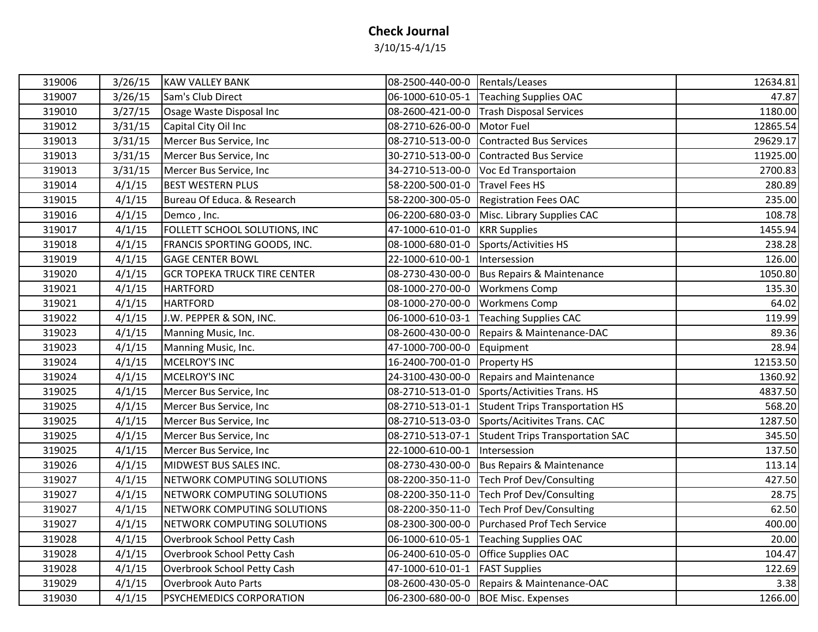## **Check Journal**

3/10/15-4/1/15

| 319006 | 3/26/15 | <b>KAW VALLEY BANK</b>              | 08-2500-440-00-0 Rentals/Leases |                                                   | 12634.81 |
|--------|---------|-------------------------------------|---------------------------------|---------------------------------------------------|----------|
| 319007 | 3/26/15 | Sam's Club Direct                   |                                 | 06-1000-610-05-1 Teaching Supplies OAC            | 47.87    |
| 319010 | 3/27/15 | Osage Waste Disposal Inc            |                                 | 08-2600-421-00-0 Trash Disposal Services          | 1180.00  |
| 319012 | 3/31/15 | Capital City Oil Inc                | 08-2710-626-00-0 Motor Fuel     |                                                   | 12865.54 |
| 319013 | 3/31/15 | Mercer Bus Service, Inc.            |                                 | 08-2710-513-00-0 Contracted Bus Services          | 29629.17 |
| 319013 | 3/31/15 | Mercer Bus Service, Inc             |                                 | 30-2710-513-00-0 Contracted Bus Service           | 11925.00 |
| 319013 | 3/31/15 | Mercer Bus Service, Inc             |                                 | 34-2710-513-00-0 Voc Ed Transportaion             | 2700.83  |
| 319014 | 4/1/15  | <b>BEST WESTERN PLUS</b>            | 58-2200-500-01-0 Travel Fees HS |                                                   | 280.89   |
| 319015 | 4/1/15  | Bureau Of Educa. & Research         |                                 | 58-2200-300-05-0 Registration Fees OAC            | 235.00   |
| 319016 | 4/1/15  | Demco, Inc.                         |                                 | 06-2200-680-03-0 Misc. Library Supplies CAC       | 108.78   |
| 319017 | 4/1/15  | FOLLETT SCHOOL SOLUTIONS, INC       | 47-1000-610-01-0                | <b>KRR</b> Supplies                               | 1455.94  |
| 319018 | 4/1/15  | FRANCIS SPORTING GOODS, INC.        |                                 | 08-1000-680-01-0 Sports/Activities HS             | 238.28   |
| 319019 | 4/1/15  | <b>GAGE CENTER BOWL</b>             | 22-1000-610-00-1                | Intersession                                      | 126.00   |
| 319020 | 4/1/15  | <b>GCR TOPEKA TRUCK TIRE CENTER</b> |                                 | 08-2730-430-00-0   Bus Repairs & Maintenance      | 1050.80  |
| 319021 | 4/1/15  | <b>HARTFORD</b>                     | 08-1000-270-00-0 Workmens Comp  |                                                   | 135.30   |
| 319021 | 4/1/15  | <b>HARTFORD</b>                     | 08-1000-270-00-0 Workmens Comp  |                                                   | 64.02    |
| 319022 | 4/1/15  | J.W. PEPPER & SON, INC.             |                                 | 06-1000-610-03-1 Teaching Supplies CAC            | 119.99   |
| 319023 | 4/1/15  | Manning Music, Inc.                 |                                 | 08-2600-430-00-0 Repairs & Maintenance-DAC        | 89.36    |
| 319023 | 4/1/15  | Manning Music, Inc.                 | 47-1000-700-00-0 Equipment      |                                                   | 28.94    |
| 319024 | 4/1/15  | MCELROY'S INC                       | 16-2400-700-01-0 Property HS    |                                                   | 12153.50 |
| 319024 | 4/1/15  | MCELROY'S INC                       |                                 | 24-3100-430-00-0 Repairs and Maintenance          | 1360.92  |
| 319025 | 4/1/15  | Mercer Bus Service, Inc             |                                 | 08-2710-513-01-0 Sports/Activities Trans. HS      | 4837.50  |
| 319025 | 4/1/15  | Mercer Bus Service, Inc             |                                 | 08-2710-513-01-1 Student Trips Transportation HS  | 568.20   |
| 319025 | 4/1/15  | Mercer Bus Service, Inc             |                                 | 08-2710-513-03-0 Sports/Acitivites Trans. CAC     | 1287.50  |
| 319025 | 4/1/15  | Mercer Bus Service, Inc             |                                 | 08-2710-513-07-1 Student Trips Transportation SAC | 345.50   |
| 319025 | 4/1/15  | Mercer Bus Service, Inc             | 22-1000-610-00-1                | Intersession                                      | 137.50   |
| 319026 | 4/1/15  | MIDWEST BUS SALES INC.              |                                 | 08-2730-430-00-0 Bus Repairs & Maintenance        | 113.14   |
| 319027 | 4/1/15  | NETWORK COMPUTING SOLUTIONS         |                                 | 08-2200-350-11-0 Tech Prof Dev/Consulting         | 427.50   |
| 319027 | 4/1/15  | NETWORK COMPUTING SOLUTIONS         |                                 | 08-2200-350-11-0 Tech Prof Dev/Consulting         | 28.75    |
| 319027 | 4/1/15  | NETWORK COMPUTING SOLUTIONS         |                                 | 08-2200-350-11-0 Tech Prof Dev/Consulting         | 62.50    |
| 319027 | 4/1/15  | NETWORK COMPUTING SOLUTIONS         |                                 | 08-2300-300-00-0 Purchased Prof Tech Service      | 400.00   |
| 319028 | 4/1/15  | Overbrook School Petty Cash         |                                 | 06-1000-610-05-1 Teaching Supplies OAC            | 20.00    |
| 319028 | 4/1/15  | Overbrook School Petty Cash         |                                 | 06-2400-610-05-0 Office Supplies OAC              | 104.47   |
| 319028 | 4/1/15  | Overbrook School Petty Cash         | 47-1000-610-01-1                | <b>FAST Supplies</b>                              | 122.69   |
| 319029 | 4/1/15  | <b>Overbrook Auto Parts</b>         |                                 | 08-2600-430-05-0 Repairs & Maintenance-OAC        | 3.38     |
| 319030 | 4/1/15  | <b>PSYCHEMEDICS CORPORATION</b>     |                                 | 06-2300-680-00-0 BOE Misc. Expenses               | 1266.00  |
|        |         |                                     |                                 |                                                   |          |